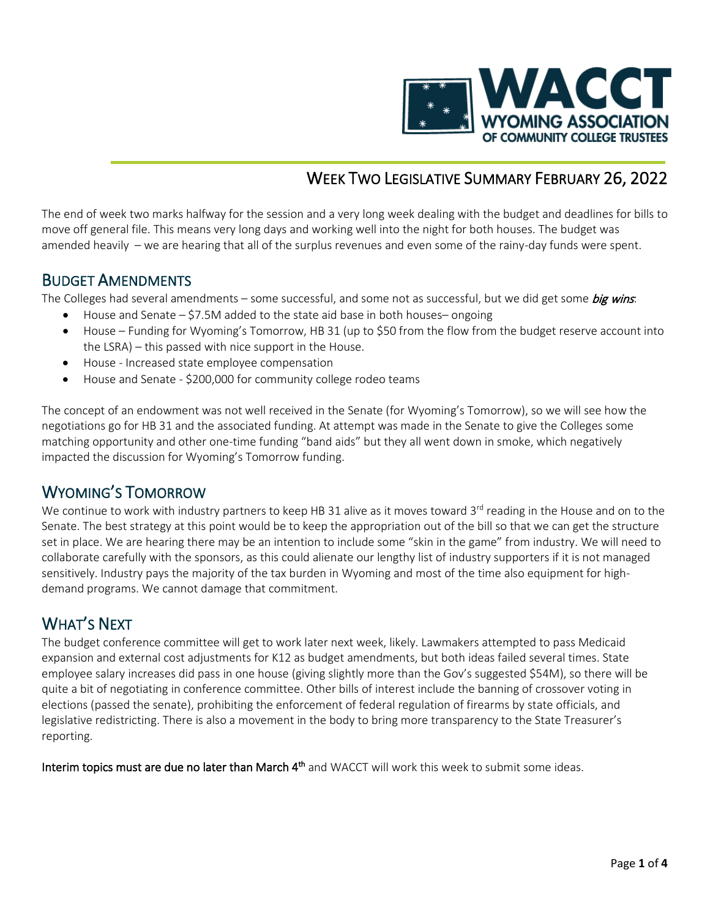

# WEEK TWO LEGISLATIVE SUMMARY FEBRUARY 26, 2022

The end of week two marks halfway for the session and a very long week dealing with the budget and deadlines for bills to move off general file. This means very long days and working well into the night for both houses. The budget was amended heavily – we are hearing that all of the surplus revenues and even some of the rainy-day funds were spent.

**BUDGET AMENDMENTS**<br>The Colleges had several amendments – some successful, and some not as successful, but we did get some *big wins*:

- House and Senate \$7.5M added to the state aid base in both houses– ongoing
- House Funding for Wyoming's Tomorrow, HB 31 (up to \$50 from the flow from the budget reserve account into the LSRA) – this passed with nice support in the House.
- House Increased state employee compensation
- House and Senate \$200,000 for community college rodeo teams

The concept of an endowment was not well received in the Senate (for Wyoming's Tomorrow), so we will see how the negotiations go for HB 31 and the associated funding. At attempt was made in the Senate to give the Colleges some matching opportunity and other one-time funding "band aids" but they all went down in smoke, which negatively impacted the discussion for Wyoming's Tomorrow funding.

WYOMING'S TOMORROW<br>We continue to work with industry partners to keep HB 31 alive as it moves toward 3<sup>rd</sup> reading in the House and on to the Senate. The best strategy at this point would be to keep the appropriation out of the bill so that we can get the structure set in place. We are hearing there may be an intention to include some "skin in the game" from industry. We will need to collaborate carefully with the sponsors, as this could alienate our lengthy list of industry supporters if it is not managed sensitively. Industry pays the majority of the tax burden in Wyoming and most of the time also equipment for highdemand programs. We cannot damage that commitment.

WHAT'S NEXT<br>The budget conference committee will get to work later next week, likely. Lawmakers attempted to pass Medicaid expansion and external cost adjustments for K12 as budget amendments, but both ideas failed several times. State employee salary increases did pass in one house (giving slightly more than the Gov's suggested \$54M), so there will be quite a bit of negotiating in conference committee. Other bills of interest include the banning of crossover voting in elections (passed the senate), prohibiting the enforcement of federal regulation of firearms by state officials, and legislative redistricting. There is also a movement in the body to bring more transparency to the State Treasurer's reporting.

Interim topics must are due no later than March 4<sup>th</sup> and WACCT will work this week to submit some ideas.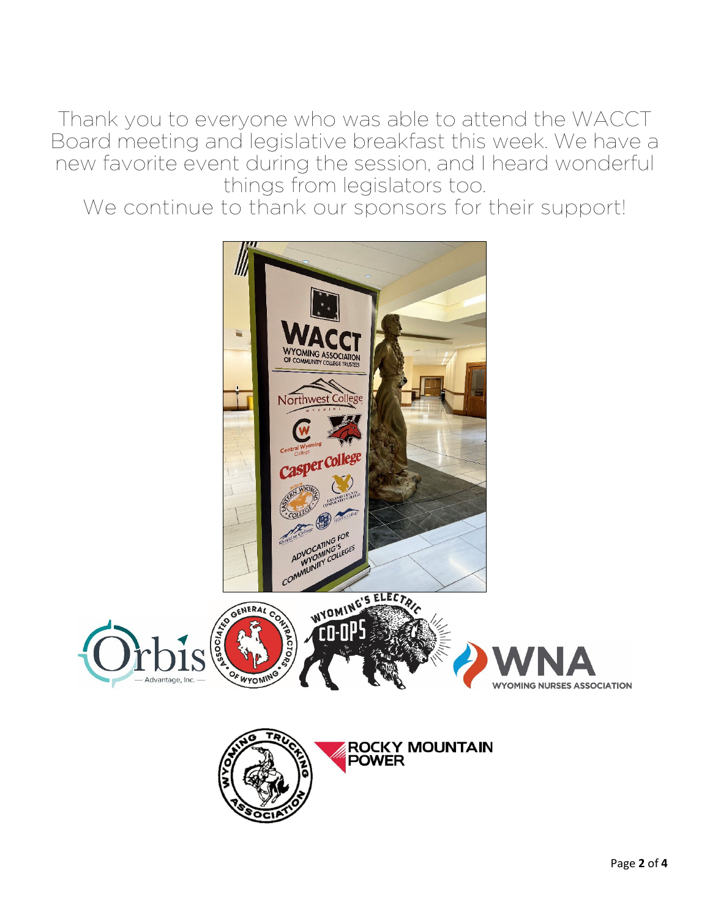Thank you to everyone who was able to attend the WACCT Board meeting and legislative breakfast this week. We have a new favorite event during the session, and I heard wonderful things from legislators too.

We continue to thank our sponsors for their support!

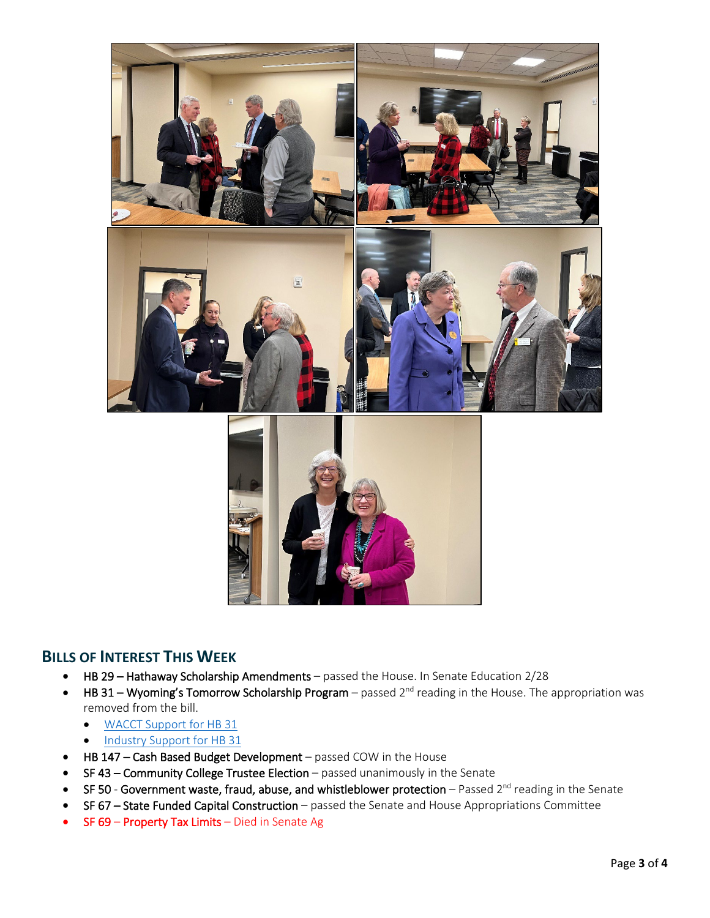

### **BILLS OF INTEREST THIS WEEK**

- HB 29 Hathaway Scholarship Amendments passed the House. In Senate Education 2/28
- HB 31 Wyoming's Tomorrow Scholarship Program passed  $2^{nd}$  reading in the House. The appropriation was removed from the bill.
	- [WACCT Support for HB 31](https://www.wacct.org/wp-content/uploads/Support-HB31-Wyomings-Tomorrow.pdf)
	- [Industry Support for HB 31](https://www.wacct.org/wp-content/uploads/2022-0212-WBA-wyomingtomorrow.pdf)
- HB 147 Cash Based Budget Development passed COW in the House
- SF 43 Community College Trustee Election passed unanimously in the Senate
- SF 50 Government waste, fraud, abuse, and whistleblower protection  $-$  Passed 2<sup>nd</sup> reading in the Senate
- SF 67 State Funded Capital Construction passed the Senate and House Appropriations Committee
- SF 69 Property Tax Limits Died in Senate Ag